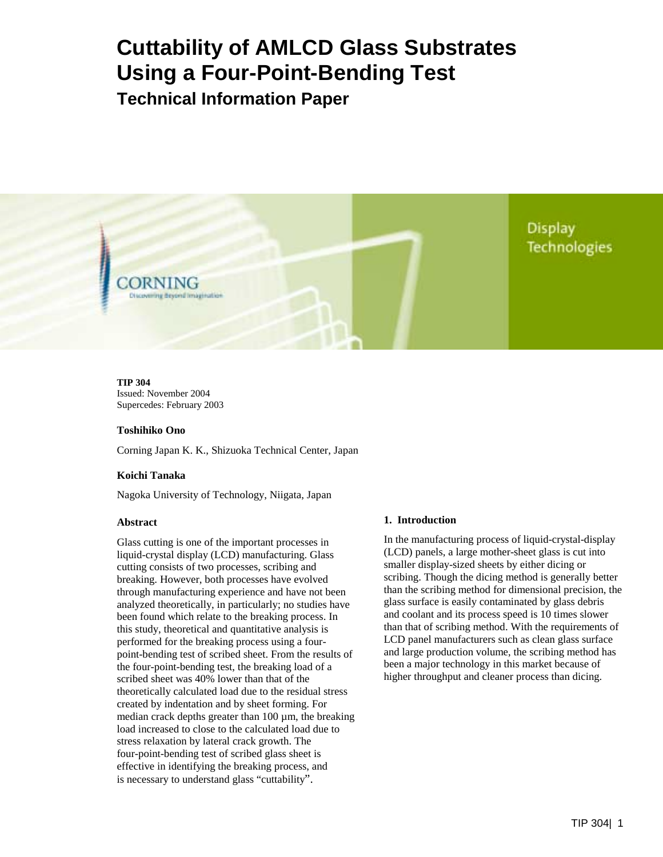# **Cuttability of AMLCD Glass Substrates Using a Four-Point-Bending Test**

**Technical Information Paper** 

Display **Technologies** 

**TIP 304**  Issued: November 2004 Supercedes: February 2003

**Discovering deyond Imagination** 

#### **Toshihiko Ono**

Corning Japan K. K., Shizuoka Technical Center, Japan

#### **Koichi Tanaka**

Nagoka University of Technology, Niigata, Japan

#### **Abstract**

Glass cutting is one of the important processes in liquid-crystal display (LCD) manufacturing. Glass cutting consists of two processes, scribing and breaking. However, both processes have evolved through manufacturing experience and have not been analyzed theoretically, in particularly; no studies have been found which relate to the breaking process. In this study, theoretical and quantitative analysis is performed for the breaking process using a fourpoint-bending test of scribed sheet. From the results of the four-point-bending test, the breaking load of a scribed sheet was 40% lower than that of the theoretically calculated load due to the residual stress created by indentation and by sheet forming. For median crack depths greater than  $100 \mu m$ , the breaking load increased to close to the calculated load due to stress relaxation by lateral crack growth. The four-point-bending test of scribed glass sheet is effective in identifying the breaking process, and is necessary to understand glass "cuttability".

#### **1. Introduction**

In the manufacturing process of liquid-crystal-display (LCD) panels, a large mother-sheet glass is cut into smaller display-sized sheets by either dicing or scribing. Though the dicing method is generally better than the scribing method for dimensional precision, the glass surface is easily contaminated by glass debris and coolant and its process speed is 10 times slower than that of scribing method. With the requirements of LCD panel manufacturers such as clean glass surface and large production volume, the scribing method has been a major technology in this market because of higher throughput and cleaner process than dicing.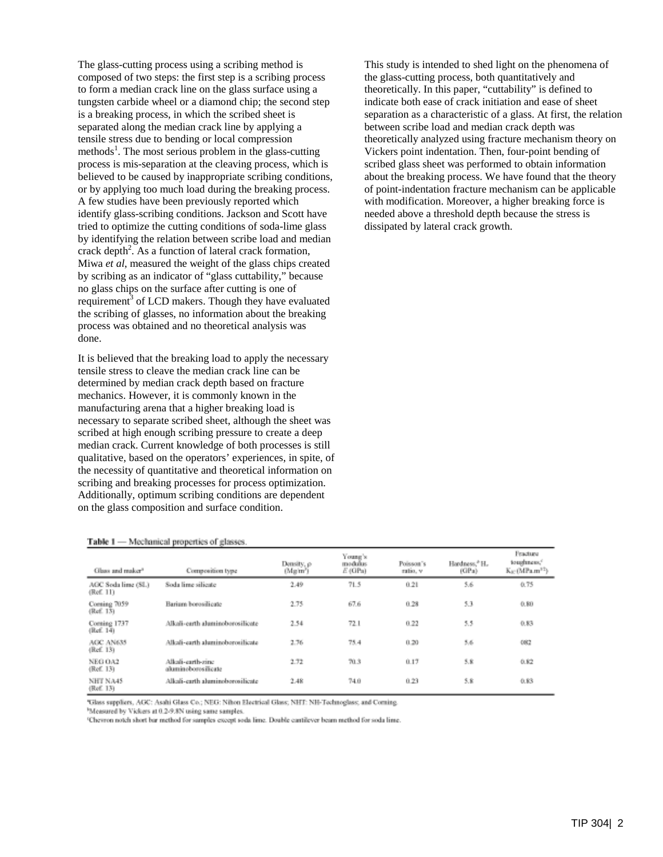The glass-cutting process using a scribing method is composed of two steps: the first step is a scribing process to form a median crack line on the glass surface using a tungsten carbide wheel or a diamond chip; the second step is a breaking process, in which the scribed sheet is separated along the median crack line by applying a tensile stress due to bending or local compression methods<sup>1</sup>. The most serious problem in the glass-cutting process is mis-separation at the cleaving process, which is believed to be caused by inappropriate scribing conditions, or by applying too much load during the breaking process. A few studies have been previously reported which identify glass-scribing conditions. Jackson and Scott have tried to optimize the cutting conditions of soda-lime glass by identifying the relation between scribe load and median crack depth<sup>2</sup>. As a function of lateral crack formation, Miwa *et al*, measured the weight of the glass chips created by scribing as an indicator of "glass cuttability," because no glass chips on the surface after cutting is one of requirement<sup>3</sup> of LCD makers. Though they have evaluated the scribing of glasses, no information about the breaking process was obtained and no theoretical analysis was done.

It is believed that the breaking load to apply the necessary tensile stress to cleave the median crack line can be determined by median crack depth based on fracture mechanics. However, it is commonly known in the manufacturing arena that a higher breaking load is necessary to separate scribed sheet, although the sheet was scribed at high enough scribing pressure to create a deep median crack. Current knowledge of both processes is still qualitative, based on the operators' experiences, in spite, of the necessity of quantitative and theoretical information on scribing and breaking processes for process optimization. Additionally, optimum scribing conditions are dependent on the glass composition and surface condition.

This study is intended to shed light on the phenomena of the glass-cutting process, both quantitatively and theoretically. In this paper, "cuttability" is defined to indicate both ease of crack initiation and ease of sheet separation as a characteristic of a glass. At first, the relation between scribe load and median crack depth was theoretically analyzed using fracture mechanism theory on Vickers point indentation. Then, four-point bending of scribed glass sheet was performed to obtain information about the breaking process. We have found that the theory of point-indentation fracture mechanism can be applicable with modification. Moreover, a higher breaking force is needed above a threshold depth because the stress is dissipated by lateral crack growth.

| Table 1 - Mechanical properties of glasses. |  |  |
|---------------------------------------------|--|--|
|---------------------------------------------|--|--|

| Glass and maker <sup>3</sup>     | Composition type                         | Density, p<br>(Mg/m') | Young's<br>modulus<br>$E$ (GPa) | Poisson's<br>ratio, v | Hardness, <sup>®</sup> H.<br>(CP <sub>3</sub> ) | Fracture<br>toughness."<br>Kic (MPa.m <sup>12</sup> ) |
|----------------------------------|------------------------------------------|-----------------------|---------------------------------|-----------------------|-------------------------------------------------|-------------------------------------------------------|
| AGC Soda linte (SL)<br>(Ref. 11) | Soda lime silicate                       | 2.49                  | 71.5                            | 0.21                  | 5.6                                             | 0.75                                                  |
| Coming 7059<br>(Ref. 13)         | Barium borosilicate                      | 2.75                  | 67.6                            | 0.28                  | 53                                              | 0.80                                                  |
| Coming 1737<br>(Ref. 14)         | Alkali-earth aluminoberosilicate         | 2.54                  | 72.1                            | 0.22                  | 5.5                                             | 0.83                                                  |
| AGC AN635<br>(Ref. 13)           | Alkali-earth aluminoborosilicate         | 2.76                  | 75.4                            | 0.20                  | 5.6                                             | 082                                                   |
| NEG OA2<br>(Ref. 13)             | Alkali-carth-zinc<br>aluminoborosilicate | 2.72                  | 70.3                            | 0.17                  | 5.8                                             | 0.82                                                  |
| NHT NA45<br>(Ref. 13)            | Allcali-earth aluminoborosilicate        | 2.48                  | 74.0                            | 0.23                  | 5.8                                             | 0.83                                                  |

'Glass suppliers, AGC: Asahi Glass Co.; NEG: Nihon Electrical Glass; NHT: NH-Technoglass; and Coming.

Measured by Vickers at 0.2-9.8N using same samples.

'Chevron notch short bar method for samples except soda lime. Double cantilever beam method for soda lime.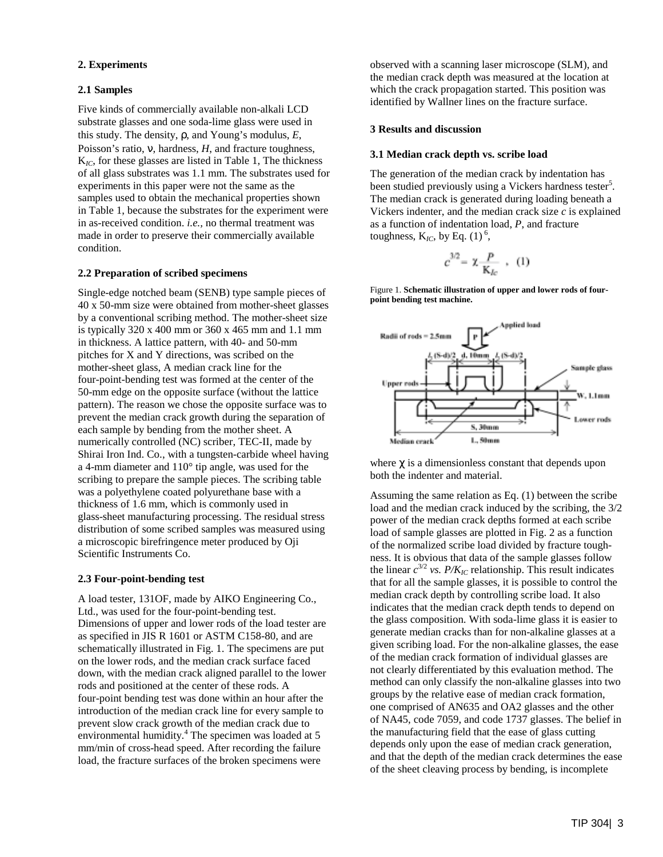## **2. Experiments**

## **2.1 Samples**

Five kinds of commercially available non-alkali LCD substrate glasses and one soda-lime glass were used in this study. The density, ρ, and Young's modulus, *E*, Poisson's ratio, ν, hardness, *H*, and fracture toughness, K*IC*, for these glasses are listed in Table 1, The thickness of all glass substrates was 1.1 mm. The substrates used for experiments in this paper were not the same as the samples used to obtain the mechanical properties shown in Table 1, because the substrates for the experiment were in as-received condition. *i.e.,* no thermal treatment was made in order to preserve their commercially available condition.

#### **2.2 Preparation of scribed specimens**

Single-edge notched beam (SENB) type sample pieces of 40 x 50-mm size were obtained from mother-sheet glasses by a conventional scribing method. The mother-sheet size is typically 320 x 400 mm or 360 x 465 mm and 1.1 mm in thickness. A lattice pattern, with 40- and 50-mm pitches for X and Y directions, was scribed on the mother-sheet glass, A median crack line for the four-point-bending test was formed at the center of the 50-mm edge on the opposite surface (without the lattice pattern). The reason we chose the opposite surface was to prevent the median crack growth during the separation of each sample by bending from the mother sheet. A numerically controlled (NC) scriber, TEC-II, made by Shirai Iron Ind. Co., with a tungsten-carbide wheel having a 4-mm diameter and 110° tip angle, was used for the scribing to prepare the sample pieces. The scribing table was a polyethylene coated polyurethane base with a thickness of 1.6 mm, which is commonly used in glass-sheet manufacturing processing. The residual stress distribution of some scribed samples was measured using a microscopic birefringence meter produced by Oji Scientific Instruments Co.

#### **2.3 Four-point-bending test**

A load tester, 131OF, made by AIKO Engineering Co., Ltd., was used for the four-point-bending test. Dimensions of upper and lower rods of the load tester are as specified in JIS R 1601 or ASTM C158-80, and are schematically illustrated in Fig. 1. The specimens are put on the lower rods, and the median crack surface faced down, with the median crack aligned parallel to the lower rods and positioned at the center of these rods. A four-point bending test was done within an hour after the introduction of the median crack line for every sample to prevent slow crack growth of the median crack due to environmental humidity.<sup>4</sup> The specimen was loaded at 5 mm/min of cross-head speed. After recording the failure load, the fracture surfaces of the broken specimens were

observed with a scanning laser microscope (SLM), and the median crack depth was measured at the location at which the crack propagation started. This position was identified by Wallner lines on the fracture surface.

#### **3 Results and discussion**

#### **3.1 Median crack depth vs. scribe load**

The generation of the median crack by indentation has been studied previously using a Vickers hardness tester<sup>5</sup>. The median crack is generated during loading beneath a Vickers indenter, and the median crack size *c* is explained as a function of indentation load, *P*, and fracture toughness,  $K_{IC}$ , by Eq. (1)<sup>6</sup>,

$$
c^{3/2} = \chi \frac{P}{K_{lc}} \cdot (1)
$$

Figure 1. **Schematic illustration of upper and lower rods of fourpoint bending test machine.**



where  $\gamma$  is a dimensionless constant that depends upon both the indenter and material.

Assuming the same relation as Eq. (1) between the scribe load and the median crack induced by the scribing, the 3/2 power of the median crack depths formed at each scribe load of sample glasses are plotted in Fig. 2 as a function of the normalized scribe load divided by fracture toughness. It is obvious that data of the sample glasses follow the linear  $c^{3/2}$  *vs.*  $P/K_{IC}$  relationship. This result indicates that for all the sample glasses, it is possible to control the median crack depth by controlling scribe load. It also indicates that the median crack depth tends to depend on the glass composition. With soda-lime glass it is easier to generate median cracks than for non-alkaline glasses at a given scribing load. For the non-alkaline glasses, the ease of the median crack formation of individual glasses are not clearly differentiated by this evaluation method. The method can only classify the non-alkaline glasses into two groups by the relative ease of median crack formation, one comprised of AN635 and OA2 glasses and the other of NA45, code 7059, and code 1737 glasses. The belief in the manufacturing field that the ease of glass cutting depends only upon the ease of median crack generation, and that the depth of the median crack determines the ease of the sheet cleaving process by bending, is incomplete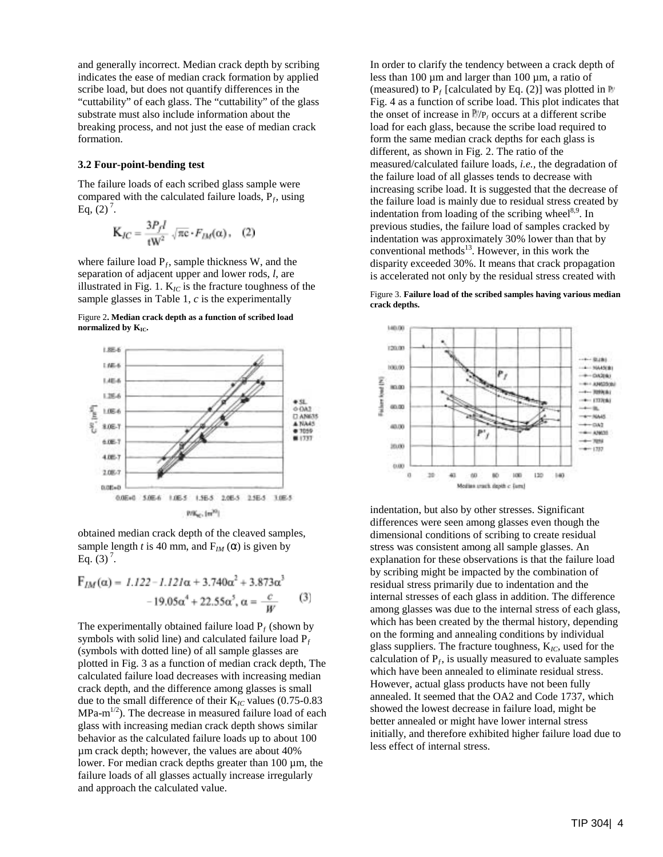and generally incorrect. Median crack depth by scribing indicates the ease of median crack formation by applied scribe load, but does not quantify differences in the "cuttability" of each glass. The "cuttability" of the glass substrate must also include information about the breaking process, and not just the ease of median crack formation.

#### **3.2 Four-point-bending test**

The failure loads of each scribed glass sample were compared with the calculated failure loads,  $P_f$ , using Eq.  $(2)^7$ .

$$
K_{JC} = \frac{3P_f l}{1W^2} \sqrt{\pi c} \cdot F_{DA}(\alpha), \quad (2)
$$

where failure load  $P_f$ , sample thickness W, and the separation of adjacent upper and lower rods, *l*, are illustrated in Fig. 1.  $K_{IC}$  is the fracture toughness of the sample glasses in Table 1, *c* is the experimentally





obtained median crack depth of the cleaved samples, sample length *t* is 40 mm, and  $F_{IM}(\alpha)$  is given by Eq.  $(3)^7$ .

$$
F_{IM}(\alpha) = 1.122 - 1.121\alpha + 3.740\alpha^{2} + 3.873\alpha^{3}
$$

$$
-19.05\alpha^{4} + 22.55\alpha^{5}, \alpha = \frac{c}{W}
$$
(3)

The experimentally obtained failure load  $P_f$  (shown by symbols with solid line) and calculated failure load  $P_f$ (symbols with dotted line) of all sample glasses are plotted in Fig. 3 as a function of median crack depth, The calculated failure load decreases with increasing median crack depth, and the difference among glasses is small due to the small difference of their K*IC* values (0.75-0.83  $MPa-m^{1/2}$ ). The decrease in measured failure load of each glass with increasing median crack depth shows similar behavior as the calculated failure loads up to about 100 µm crack depth; however, the values are about 40% lower. For median crack depths greater than 100 µm, the failure loads of all glasses actually increase irregularly and approach the calculated value.

In order to clarify the tendency between a crack depth of less than 100 µm and larger than 100 µm, a ratio of (measured) to  $P_f$  [calculated by Eq. (2)] was plotted in  $\mathbb{R}^n$ Fig. 4 as a function of scribe load. This plot indicates that the onset of increase in  $\mathbb{F}/P_f$  occurs at a different scribe load for each glass, because the scribe load required to form the same median crack depths for each glass is different, as shown in Fig. 2. The ratio of the measured/calculated failure loads, *i.e.,* the degradation of the failure load of all glasses tends to decrease with increasing scribe load. It is suggested that the decrease of the failure load is mainly due to residual stress created by indentation from loading of the scribing wheel $8,9$ . In previous studies, the failure load of samples cracked by indentation was approximately 30% lower than that by conventional methods $^{13}$ . However, in this work the disparity exceeded 30%. It means that crack propagation is accelerated not only by the residual stress created with

Figure 3. **Failure load of the scribed samples having various median crack depths.** 



indentation, but also by other stresses. Significant differences were seen among glasses even though the dimensional conditions of scribing to create residual stress was consistent among all sample glasses. An explanation for these observations is that the failure load by scribing might be impacted by the combination of residual stress primarily due to indentation and the internal stresses of each glass in addition. The difference among glasses was due to the internal stress of each glass, which has been created by the thermal history, depending on the forming and annealing conditions by individual glass suppliers. The fracture toughness, K*IC*, used for the calculation of  $P_f$ , is usually measured to evaluate samples which have been annealed to eliminate residual stress. However, actual glass products have not been fully annealed. It seemed that the OA2 and Code 1737, which showed the lowest decrease in failure load, might be better annealed or might have lower internal stress initially, and therefore exhibited higher failure load due to less effect of internal stress.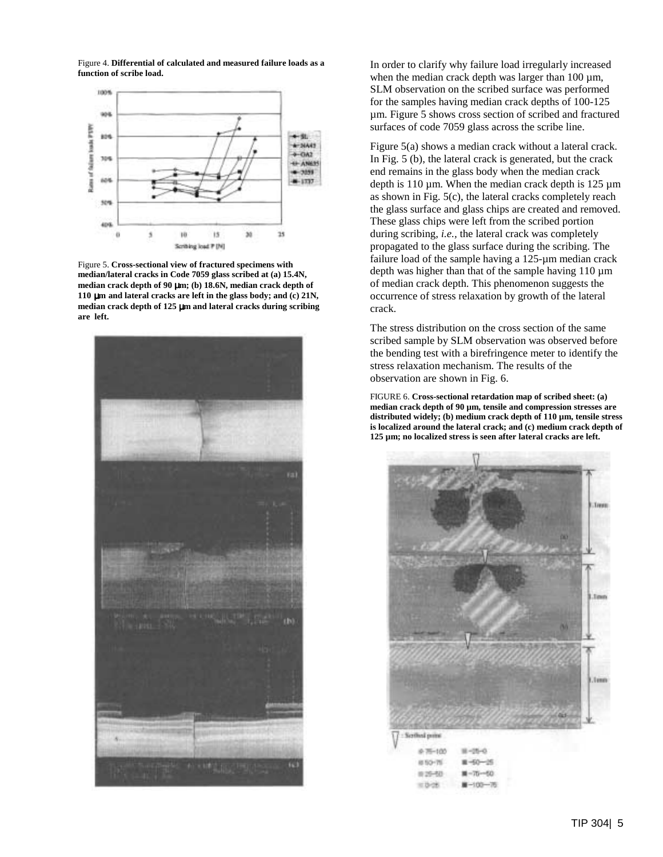Figure 4. **Differential of calculated and measured failure loads as a function of scribe load.** 



Figure 5. **Cross-sectional view of fractured specimens with median/lateral cracks in Code 7059 glass scribed at (a) 15.4N, median crack depth of 90** µ**m; (b) 18.6N, median crack depth of 110** µ**m and lateral cracks are left in the glass body; and (c) 21N, median crack depth of 125** µ**m and lateral cracks during scribing are left.** 



In order to clarify why failure load irregularly increased when the median crack depth was larger than  $100 \mu m$ , SLM observation on the scribed surface was performed for the samples having median crack depths of 100-125 µm. Figure 5 shows cross section of scribed and fractured surfaces of code 7059 glass across the scribe line.

Figure 5(a) shows a median crack without a lateral crack. In Fig. 5 (b), the lateral crack is generated, but the crack end remains in the glass body when the median crack depth is 110  $\mu$ m. When the median crack depth is 125  $\mu$ m as shown in Fig. 5(c), the lateral cracks completely reach the glass surface and glass chips are created and removed. These glass chips were left from the scribed portion during scribing, *i.e.,* the lateral crack was completely propagated to the glass surface during the scribing. The failure load of the sample having a 125-µm median crack depth was higher than that of the sample having  $110 \mu m$ of median crack depth. This phenomenon suggests the occurrence of stress relaxation by growth of the lateral crack.

The stress distribution on the cross section of the same scribed sample by SLM observation was observed before the bending test with a birefringence meter to identify the stress relaxation mechanism. The results of the observation are shown in Fig. 6.

FIGURE 6. **Cross-sectional retardation map of scribed sheet: (a) median crack depth of 90 µm, tensile and compression stresses are distributed widely; (b) medium crack depth of 110 µm, tensile stress is localized around the lateral crack; and (c) medium crack depth of 125 µm; no localized stress is seen after lateral cracks are left.** 

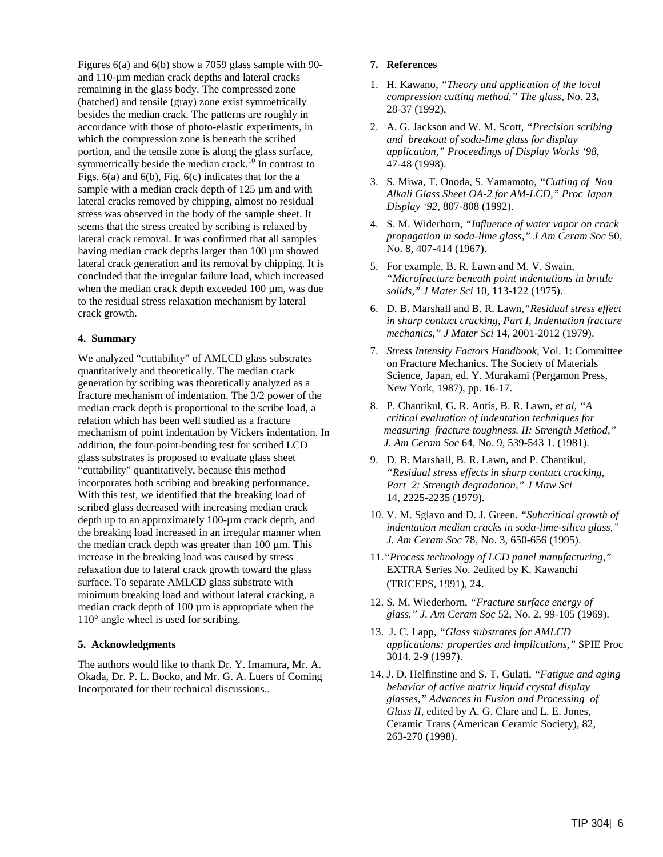Figures 6(a) and 6(b) show a 7059 glass sample with 90 and 110-µm median crack depths and lateral cracks remaining in the glass body. The compressed zone (hatched) and tensile (gray) zone exist symmetrically besides the median crack. The patterns are roughly in accordance with those of photo-elastic experiments, in which the compression zone is beneath the scribed portion, and the tensile zone is along the glass surface, symmetrically beside the median crack.<sup>10</sup> In contrast to Figs.  $6(a)$  and  $6(b)$ , Fig.  $6(c)$  indicates that for the a sample with a median crack depth of 125  $\mu$ m and with lateral cracks removed by chipping, almost no residual stress was observed in the body of the sample sheet. It seems that the stress created by scribing is relaxed by lateral crack removal. It was confirmed that all samples having median crack depths larger than 100 µm showed lateral crack generation and its removal by chipping. It is concluded that the irregular failure load, which increased when the median crack depth exceeded 100  $\mu$ m, was due to the residual stress relaxation mechanism by lateral crack growth.

## **4. Summary**

We analyzed "cuttability" of AMLCD glass substrates quantitatively and theoretically. The median crack generation by scribing was theoretically analyzed as a fracture mechanism of indentation. The 3/2 power of the median crack depth is proportional to the scribe load, a relation which has been well studied as a fracture mechanism of point indentation by Vickers indentation. In addition, the four-point-bending test for scribed LCD glass substrates is proposed to evaluate glass sheet "cuttability" quantitatively, because this method incorporates both scribing and breaking performance. With this test, we identified that the breaking load of scribed glass decreased with increasing median crack depth up to an approximately 100-µm crack depth, and the breaking load increased in an irregular manner when the median crack depth was greater than  $100 \mu m$ . This increase in the breaking load was caused by stress relaxation due to lateral crack growth toward the glass surface. To separate AMLCD glass substrate with minimum breaking load and without lateral cracking, a median crack depth of  $100 \mu m$  is appropriate when the 110° angle wheel is used for scribing.

#### **5. Acknowledgments**

The authors would like to thank Dr. Y. Imamura, Mr. A. Okada, Dr. P. L. Bocko, and Mr. G. A. Luers of Coming Incorporated for their technical discussions..

## **7. References**

- 1. H. Kawano, *"Theory and application of the local compression cutting method." The glass*, No. 23**,** 28-37 (1992),
- 2. A. G. Jackson and W. M. Scott, *"Precision scribing and breakout of soda-lime glass for display application," Proceedings of Display Works '98*, 47-48 (1998).
- 3. S. Miwa, T. Onoda, S. Yamamoto, *"Cutting of Non Alkali Glass Sheet OA-2 for AM-LCD," Proc Japan Display '92*, 807-808 (1992).
- 4. S. M. Widerhorn, *"Influence of water vapor on crack propagation in soda-lime glass," J Am Ceram Soc* 50, No. 8, 407-414 (1967).
- 5. For example, B. R. Lawn and M. V. Swain,  *"Microfracture beneath point indentations in brittle solids," J Mater Sci* 10, 113-122 (1975).
- 6. D. B. Marshall and B. R. Lawn*,"Residual stress effect in sharp contact cracking, Part I, Indentation fracture mechanics," J Mater Sci* 14, 2001-2012 (1979).
- 7. *Stress Intensity Factors Handbook,* Vol. 1: Committee on Fracture Mechanics. The Society of Materials Science, Japan, ed. Y. Murakami (Pergamon Press, New York, 1987), pp. 16-17.
- 8. P. Chantikul, G. R. Antis, B. R. Lawn, *et al, "A critical evaluation of indentation techniques for measuring fracture toughness. II: Strength Method," J. Am Ceram Soc* 64, No. 9, 539-543 1. (1981).
- 9. D. B. Marshall, B. R. Lawn, and P. Chantikul, *"Residual stress effects in sharp contact cracking, Part 2: Strength degradation," J Maw Sci* 14, 2225-2235 (1979).
- 10. V. M. Sglavo and D. J. Green. *"Subcritical growth of indentation median cracks in soda-lime-silica glass," J. Am Ceram Soc* 78, No. 3, 650-656 (1995).
- 11.*"Process technology of LCD panel manufacturing,"* **EXTRA Series No. 2edited by K. Kawanchi** (TRICEPS, 1991), 24.
- 12. S. M. Wiederhorn, *"Fracture surface energy of glass." J. Am Ceram Soc* 52, No. 2, 99-105 (1969).
- 13. J. C. Lapp, *"Glass substrates for AMLCD applications: properties and implications,"* SPIE Proc 3014. 2-9 (1997).
- 14. J. D. Helfinstine and S. T. Gulati, *"Fatigue and aging behavior of active matrix liquid crystal display glasses," Advances in Fusion and Processing of Glass II,* edited by A. G. Clare and L. E. Jones, Ceramic Trans (American Ceramic Society), 82, 263-270 (1998).